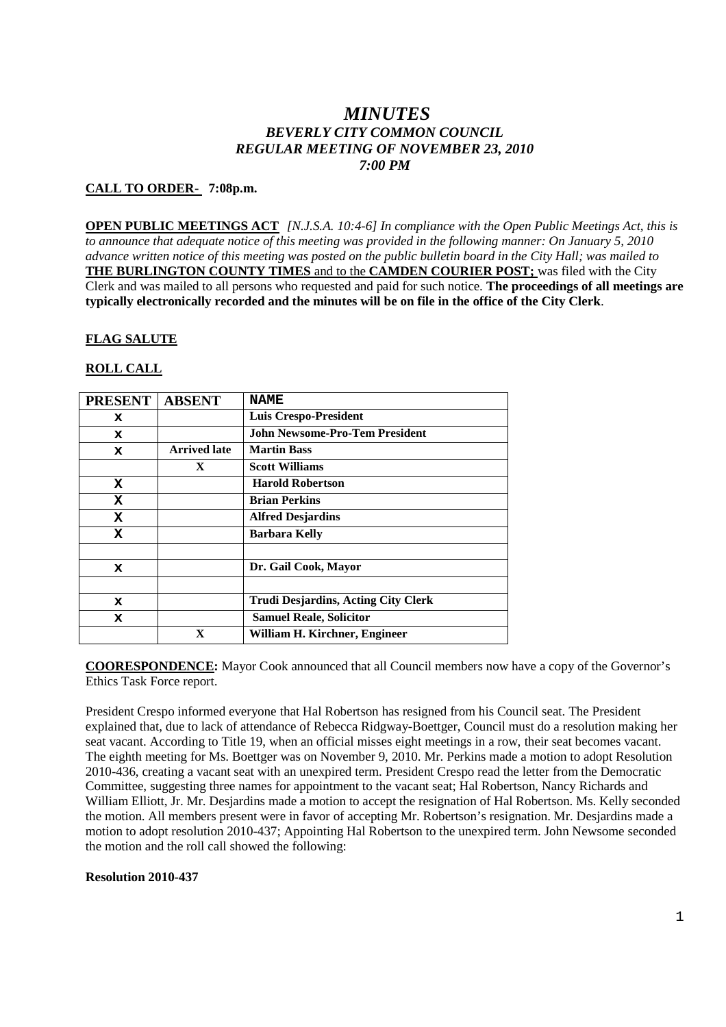# *MINUTES BEVERLY CITY COMMON COUNCIL REGULAR MEETING OF NOVEMBER 23, 2010 7:00 PM*

### **CALL TO ORDER- 7:08p.m.**

**OPEN PUBLIC MEETINGS ACT** *[N.J.S.A. 10:4-6] In compliance with the Open Public Meetings Act, this is to announce that adequate notice of this meeting was provided in the following manner: On January 5, 2010 advance written notice of this meeting was posted on the public bulletin board in the City Hall; was mailed to* **THE BURLINGTON COUNTY TIMES** and to the **CAMDEN COURIER POST;** was filed with the City Clerk and was mailed to all persons who requested and paid for such notice. **The proceedings of all meetings are typically electronically recorded and the minutes will be on file in the office of the City Clerk**.

#### **FLAG SALUTE**

#### **ROLL CALL**

| <b>PRESENT</b> | <b>ABSENT</b>       | <b>NAME</b>                                |
|----------------|---------------------|--------------------------------------------|
| x              |                     | <b>Luis Crespo-President</b>               |
| x              |                     | John Newsome-Pro-Tem President             |
| x              | <b>Arrived late</b> | <b>Martin Bass</b>                         |
|                | X                   | <b>Scott Williams</b>                      |
| x              |                     | <b>Harold Robertson</b>                    |
| x              |                     | <b>Brian Perkins</b>                       |
| x              |                     | <b>Alfred Desjardins</b>                   |
| x              |                     | <b>Barbara Kelly</b>                       |
|                |                     |                                            |
| x              |                     | Dr. Gail Cook, Mayor                       |
|                |                     |                                            |
| x              |                     | <b>Trudi Desjardins, Acting City Clerk</b> |
| x              |                     | <b>Samuel Reale, Solicitor</b>             |
|                |                     | William H. Kirchner, Engineer              |

**COORESPONDENCE:** Mayor Cook announced that all Council members now have a copy of the Governor's Ethics Task Force report.

President Crespo informed everyone that Hal Robertson has resigned from his Council seat. The President explained that, due to lack of attendance of Rebecca Ridgway-Boettger, Council must do a resolution making her seat vacant. According to Title 19, when an official misses eight meetings in a row, their seat becomes vacant. The eighth meeting for Ms. Boettger was on November 9, 2010. Mr. Perkins made a motion to adopt Resolution 2010-436, creating a vacant seat with an unexpired term. President Crespo read the letter from the Democratic Committee, suggesting three names for appointment to the vacant seat; Hal Robertson, Nancy Richards and William Elliott, Jr. Mr. Desjardins made a motion to accept the resignation of Hal Robertson. Ms. Kelly seconded the motion. All members present were in favor of accepting Mr. Robertson's resignation. Mr. Desjardins made a motion to adopt resolution 2010-437; Appointing Hal Robertson to the unexpired term. John Newsome seconded the motion and the roll call showed the following:

#### **Resolution 2010-437**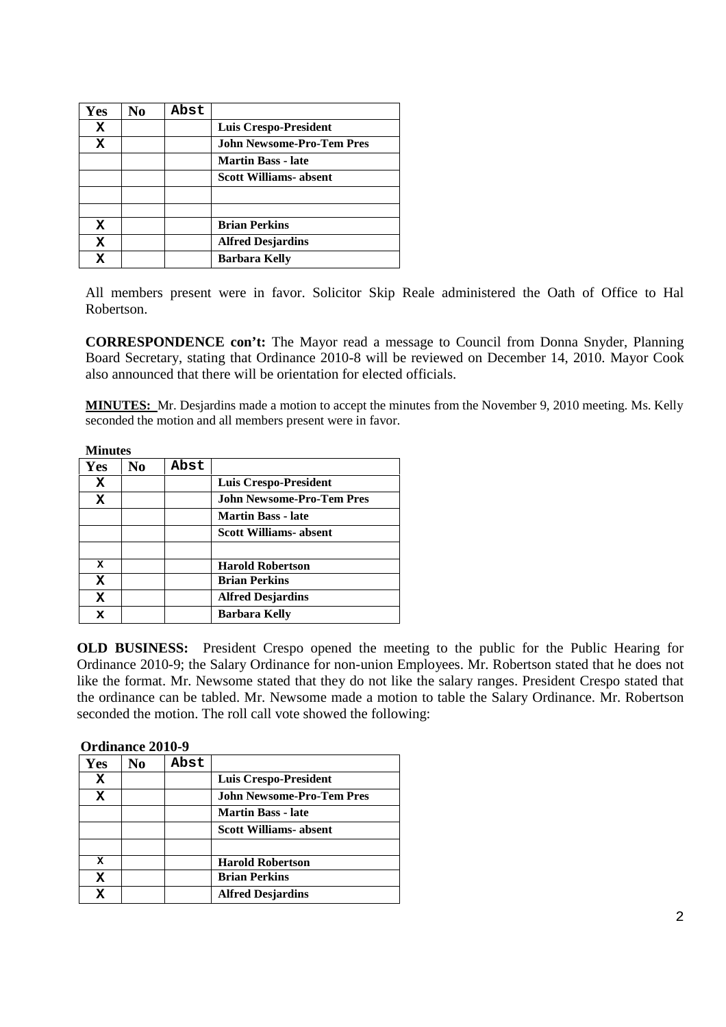| Yes | No | Abst |                                  |
|-----|----|------|----------------------------------|
| X   |    |      | <b>Luis Crespo-President</b>     |
| x   |    |      | <b>John Newsome-Pro-Tem Pres</b> |
|     |    |      | <b>Martin Bass - late</b>        |
|     |    |      | <b>Scott Williams- absent</b>    |
|     |    |      |                                  |
|     |    |      |                                  |
| x   |    |      | <b>Brian Perkins</b>             |
| X   |    |      | <b>Alfred Desjardins</b>         |
|     |    |      | <b>Barbara Kelly</b>             |

All members present were in favor. Solicitor Skip Reale administered the Oath of Office to Hal Robertson.

**CORRESPONDENCE con't:** The Mayor read a message to Council from Donna Snyder, Planning Board Secretary, stating that Ordinance 2010-8 will be reviewed on December 14, 2010. Mayor Cook also announced that there will be orientation for elected officials.

**MINUTES:** Mr. Desjardins made a motion to accept the minutes from the November 9, 2010 meeting. Ms. Kelly seconded the motion and all members present were in favor.

| <b>Minutes</b> |                |      |                                  |
|----------------|----------------|------|----------------------------------|
| Yes            | N <sub>0</sub> | Abst |                                  |
| x              |                |      | Luis Crespo-President            |
| x              |                |      | <b>John Newsome-Pro-Tem Pres</b> |
|                |                |      | <b>Martin Bass - late</b>        |
|                |                |      | <b>Scott Williams- absent</b>    |
| x              |                |      | <b>Harold Robertson</b>          |
| $\mathbf x$    |                |      | <b>Brian Perkins</b>             |
| X              |                |      | <b>Alfred Desjardins</b>         |
| x              |                |      | <b>Barbara Kelly</b>             |

**OLD BUSINESS:** President Crespo opened the meeting to the public for the Public Hearing for Ordinance 2010-9; the Salary Ordinance for non-union Employees. Mr. Robertson stated that he does not like the format. Mr. Newsome stated that they do not like the salary ranges. President Crespo stated that the ordinance can be tabled. Mr. Newsome made a motion to table the Salary Ordinance. Mr. Robertson seconded the motion. The roll call vote showed the following:

#### **Ordinance 2010-9**

| Yes | No | Abst |                                  |
|-----|----|------|----------------------------------|
| X   |    |      | <b>Luis Crespo-President</b>     |
| x   |    |      | <b>John Newsome-Pro-Tem Pres</b> |
|     |    |      | <b>Martin Bass - late</b>        |
|     |    |      | <b>Scott Williams-absent</b>     |
|     |    |      |                                  |
| x   |    |      | <b>Harold Robertson</b>          |
| x   |    |      | <b>Brian Perkins</b>             |
| x   |    |      | <b>Alfred Desjardins</b>         |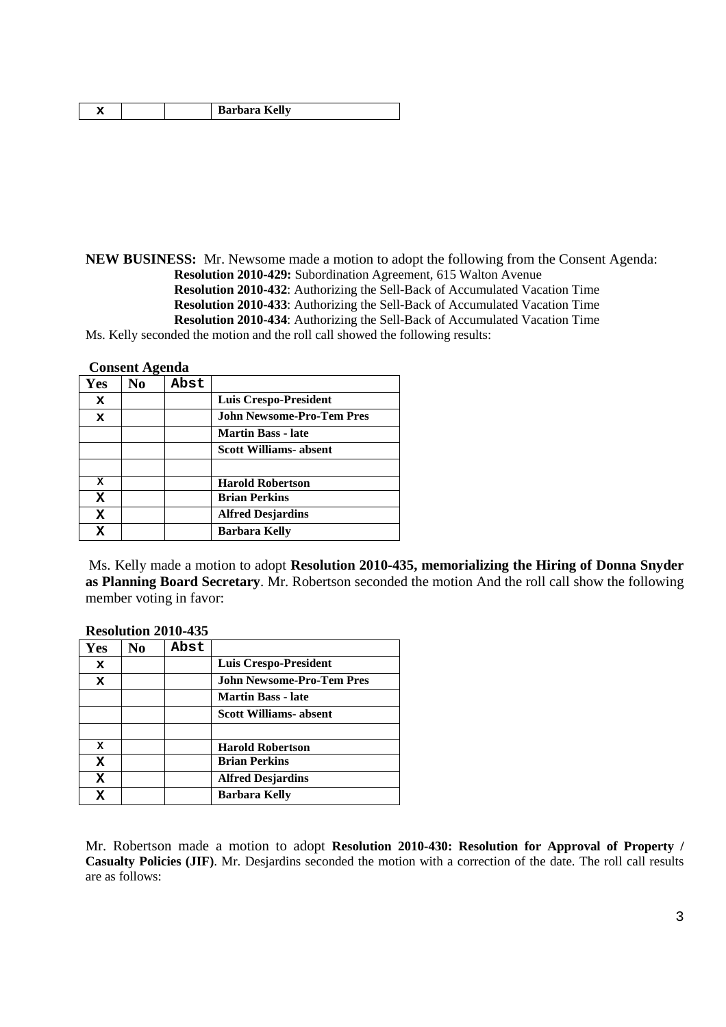|  | <b>Barbara Kelly</b> |
|--|----------------------|
|--|----------------------|

**NEW BUSINESS:** Mr. Newsome made a motion to adopt the following from the Consent Agenda: **Resolution 2010-429:** Subordination Agreement, 615 Walton Avenue **Resolution 2010-432**: Authorizing the Sell-Back of Accumulated Vacation Time **Resolution 2010-433**: Authorizing the Sell-Back of Accumulated Vacation Time **Resolution 2010-434**: Authorizing the Sell-Back of Accumulated Vacation Time Ms. Kelly seconded the motion and the roll call showed the following results:

**Consent Agenda**

| Yes | No | Abst |                                  |
|-----|----|------|----------------------------------|
| x   |    |      | <b>Luis Crespo-President</b>     |
| x   |    |      | <b>John Newsome-Pro-Tem Pres</b> |
|     |    |      | <b>Martin Bass - late</b>        |
|     |    |      | <b>Scott Williams-absent</b>     |
|     |    |      |                                  |
| X   |    |      | <b>Harold Robertson</b>          |
| x   |    |      | <b>Brian Perkins</b>             |
| X   |    |      | <b>Alfred Desjardins</b>         |
| X   |    |      | <b>Barbara Kelly</b>             |

Ms. Kelly made a motion to adopt **Resolution 2010-435, memorializing the Hiring of Donna Snyder as Planning Board Secretary**. Mr. Robertson seconded the motion And the roll call show the following member voting in favor:

|     | 1000100011 <i>1</i> 010 |      |                                  |
|-----|-------------------------|------|----------------------------------|
| Yes | No                      | Abst |                                  |
| x   |                         |      | <b>Luis Crespo-President</b>     |
| x   |                         |      | <b>John Newsome-Pro-Tem Pres</b> |
|     |                         |      | <b>Martin Bass - late</b>        |
|     |                         |      | <b>Scott Williams- absent</b>    |
|     |                         |      |                                  |
| x   |                         |      | <b>Harold Robertson</b>          |
| X   |                         |      | <b>Brian Perkins</b>             |
| x   |                         |      | <b>Alfred Desjardins</b>         |
| x   |                         |      | <b>Barbara Kelly</b>             |

**Resolution 2010-435**

Mr. Robertson made a motion to adopt **Resolution 2010-430: Resolution for Approval of Property / Casualty Policies (JIF)**. Mr. Desjardins seconded the motion with a correction of the date. The roll call results are as follows: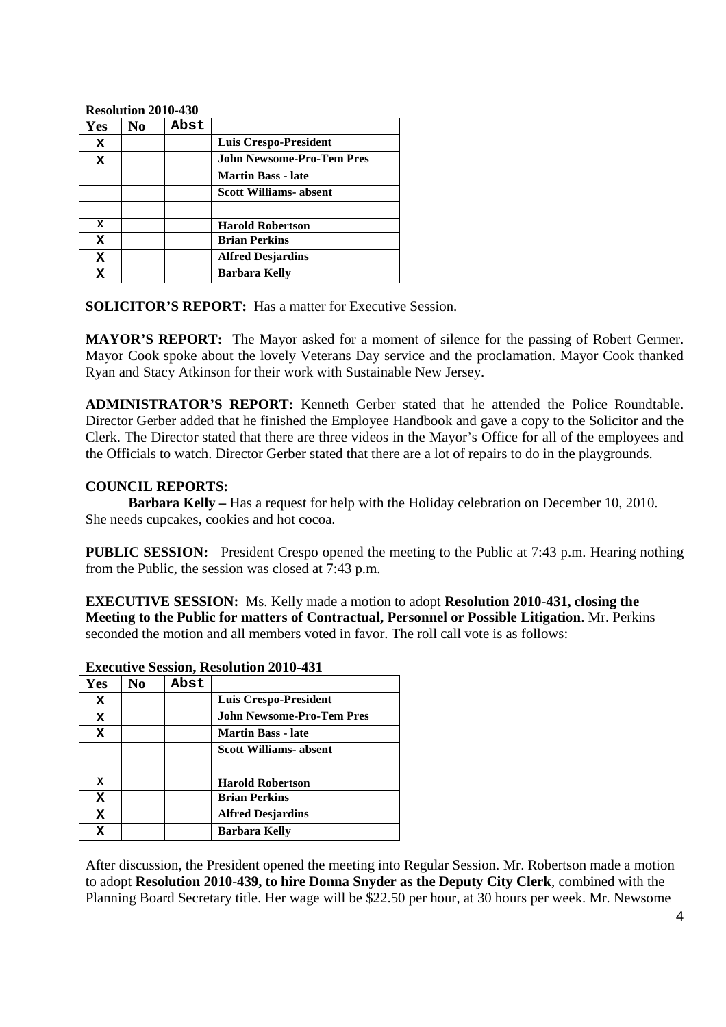#### **Resolution 2010-430**

| Yes | No | Abst |                                  |
|-----|----|------|----------------------------------|
| x   |    |      | Luis Crespo-President            |
| x   |    |      | <b>John Newsome-Pro-Tem Pres</b> |
|     |    |      | <b>Martin Bass - late</b>        |
|     |    |      | <b>Scott Williams- absent</b>    |
|     |    |      |                                  |
| x   |    |      | <b>Harold Robertson</b>          |
| x   |    |      | <b>Brian Perkins</b>             |
| X   |    |      | <b>Alfred Desjardins</b>         |
|     |    |      | <b>Barbara Kelly</b>             |

**SOLICITOR'S REPORT:** Has a matter for Executive Session.

**MAYOR'S REPORT:** The Mayor asked for a moment of silence for the passing of Robert Germer. Mayor Cook spoke about the lovely Veterans Day service and the proclamation. Mayor Cook thanked Ryan and Stacy Atkinson for their work with Sustainable New Jersey.

**ADMINISTRATOR'S REPORT:** Kenneth Gerber stated that he attended the Police Roundtable. Director Gerber added that he finished the Employee Handbook and gave a copy to the Solicitor and the Clerk. The Director stated that there are three videos in the Mayor's Office for all of the employees and the Officials to watch. Director Gerber stated that there are a lot of repairs to do in the playgrounds.

### **COUNCIL REPORTS:**

**Barbara Kelly –** Has a request for help with the Holiday celebration on December 10, 2010. She needs cupcakes, cookies and hot cocoa.

**PUBLIC SESSION:** President Crespo opened the meeting to the Public at 7:43 p.m. Hearing nothing from the Public, the session was closed at 7:43 p.m.

**EXECUTIVE SESSION:** Ms. Kelly made a motion to adopt **Resolution 2010-431, closing the Meeting to the Public for matters of Contractual, Personnel or Possible Litigation**. Mr. Perkins seconded the motion and all members voted in favor. The roll call vote is as follows:

| Yes | No | Abst |                                  |
|-----|----|------|----------------------------------|
| x   |    |      | Luis Crespo-President            |
| x   |    |      | <b>John Newsome-Pro-Tem Pres</b> |
| x   |    |      | <b>Martin Bass - late</b>        |
|     |    |      | <b>Scott Williams- absent</b>    |
|     |    |      |                                  |
| x   |    |      | <b>Harold Robertson</b>          |
| X   |    |      | <b>Brian Perkins</b>             |
| x   |    |      | <b>Alfred Desjardins</b>         |
| x   |    |      | <b>Barbara Kelly</b>             |

**Executive Session, Resolution 2010-431**

After discussion, the President opened the meeting into Regular Session. Mr. Robertson made a motion to adopt **Resolution 2010-439, to hire Donna Snyder as the Deputy City Clerk**, combined with the Planning Board Secretary title. Her wage will be \$22.50 per hour, at 30 hours per week. Mr. Newsome